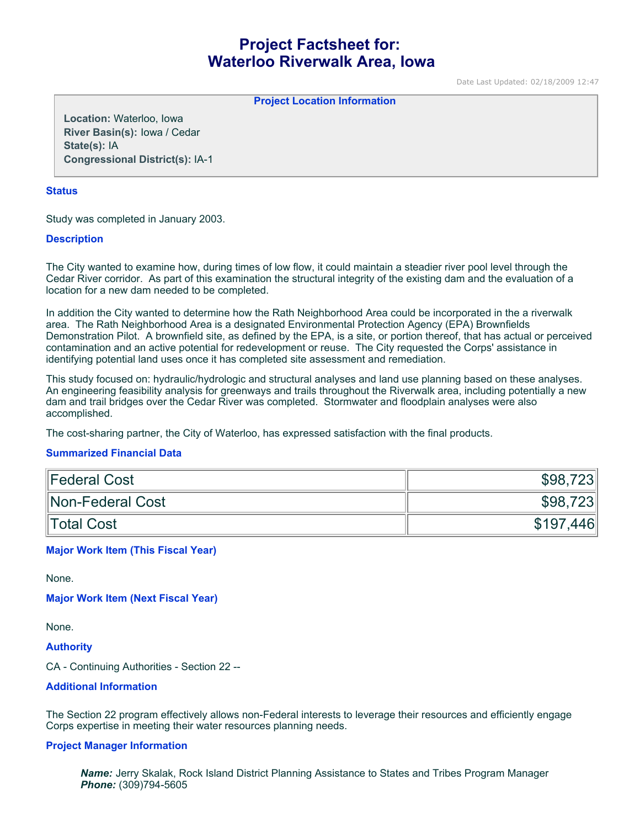# **Project Factsheet for: Waterloo Riverwalk Area, Iowa**

Date Last Updated: 02/18/2009 12:47

**Project Location Information** 

**Location:** Waterloo, Iowa **River Basin(s):** Iowa / Cedar **State(s):** IA **Congressional District(s):** IA-1

### **Status**

Study was completed in January 2003.

# **Description**

The City wanted to examine how, during times of low flow, it could maintain a steadier river pool level through the Cedar River corridor. As part of this examination the structural integrity of the existing dam and the evaluation of a location for a new dam needed to be completed.

In addition the City wanted to determine how the Rath Neighborhood Area could be incorporated in the a riverwalk area. The Rath Neighborhood Area is a designated Environmental Protection Agency (EPA) Brownfields Demonstration Pilot. A brownfield site, as defined by the EPA, is a site, or portion thereof, that has actual or perceived contamination and an active potential for redevelopment or reuse. The City requested the Corps' assistance in identifying potential land uses once it has completed site assessment and remediation.

This study focused on: hydraulic/hydrologic and structural analyses and land use planning based on these analyses. An engineering feasibility analysis for greenways and trails throughout the Riverwalk area, including potentially a new dam and trail bridges over the Cedar River was completed. Stormwater and floodplain analyses were also accomplished.

The cost-sharing partner, the City of Waterloo, has expressed satisfaction with the final products.

#### **Summarized Financial Data**

| Federal Cost     | \$98,723  |
|------------------|-----------|
| Non-Federal Cost | \$98,723  |
| Total Cost       | \$197,446 |

# **Major Work Item (This Fiscal Year)**

None.

**Major Work Item (Next Fiscal Year)**

None.

**Authority**

CA - Continuing Authorities - Section 22 --

#### **Additional Information**

The Section 22 program effectively allows non-Federal interests to leverage their resources and efficiently engage Corps expertise in meeting their water resources planning needs.

#### **Project Manager Information**

*Name:* Jerry Skalak, Rock Island District Planning Assistance to States and Tribes Program Manager *Phone:* (309)794-5605